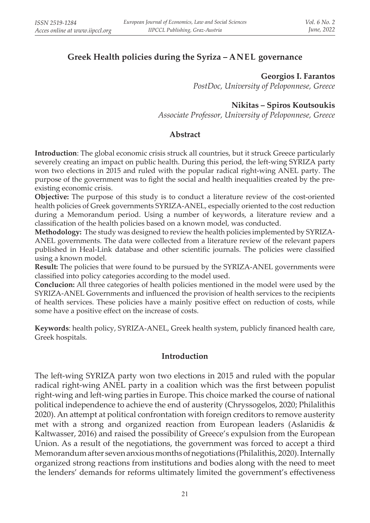# **Greek Health policies during the Syriza – ANEL governance**

**Georgios I. Farantos**

*PostDoc, University of Peloponnese, Greece*

### **Nikitas – Spiros Koutsoukis**

*Associate Professor, University of Peloponnese, Greece*

#### **Abstract**

**Introduction**: The global economic crisis struck all countries, but it struck Greece particularly severely creating an impact on public health. During this period, the left-wing SYRIZA party won two elections in 2015 and ruled with the popular radical right-wing ANEL party. The purpose of the government was to fight the social and health inequalities created by the preexisting economic crisis.

**Objective:** The purpose of this study is to conduct a literature review of the cost-oriented health policies of Greek governments SYRIZA-ANEL, especially oriented to the cost reduction during a Memorandum period. Using a number of keywords, a literature review and a classification of the health policies based on a known model, was conducted.

**Methodology:** The study was designed to review the health policies implemented by SYRIZA-ANEL governments. The data were collected from a literature review of the relevant papers published in Heal-Link database and other scientific journals. The policies were classified using a known model.

**Result:** The policies that were found to be pursued by the SYRIZA-ANEL governments were classified into policy categories according to the model used.

**Conclucion:** All three categories of health policies mentioned in the model were used by the SYRIZA-ANEL Governments and influenced the provision of health services to the recipients of health services. These policies have a mainly positive effect on reduction of costs, while some have a positive effect on the increase of costs.

**Keywords**: health policy, SYRIZA-ANEL, Greek health system, publicly financed health care, Greek hospitals.

#### **Introduction**

The left-wing SYRIZA party won two elections in 2015 and ruled with the popular radical right-wing ANEL party in a coalition which was the first between populist right-wing and left-wing parties in Europe. This choice marked the course of national political independence to achieve the end of austerity (Chryssogelos, 2020; Philalithis 2020). An attempt at political confrontation with foreign creditors to remove austerity met with a strong and organized reaction from European leaders (Aslanidis & Kaltwasser, 2016) and raised the possibility of Greece's expulsion from the European Union. As a result of the negotiations, the government was forced to accept a third Memorandum after seven anxious months of negotiations (Philalithis, 2020). Internally organized strong reactions from institutions and bodies along with the need to meet the lenders' demands for reforms ultimately limited the government's effectiveness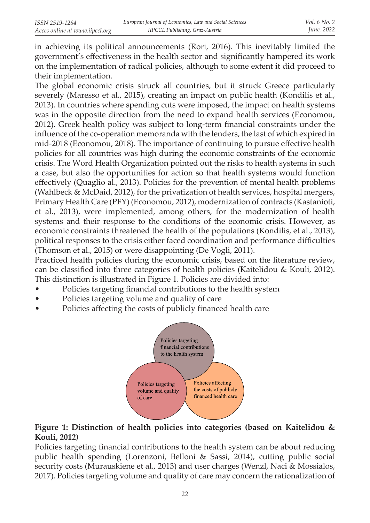in achieving its political announcements (Rori, 2016). This inevitably limited the government's effectiveness in the health sector and significantly hampered its work on the implementation of radical policies, although to some extent it did proceed to their implementation.

The global economic crisis struck all countries, but it struck Greece particularly severely (Maresso et al., 2015), creating an impact on public health (Kondilis et al., 2013). In countries where spending cuts were imposed, the impact on health systems was in the opposite direction from the need to expand health services (Economou, 2012). Greek health policy was subject to long-term financial constraints under the influence of the co-operation memoranda with the lenders, the last of which expired in mid-2018 (Economou, 2018). The importance of continuing to pursue effective health policies for all countries was high during the economic constraints of the economic crisis. The Word Health Organization pointed out the risks to health systems in such a case, but also the opportunities for action so that health systems would function effectively (Quaglio al., 2013). Policies for the prevention of mental health problems (Wahlbeck & McDaid, 2012), for the privatization of health services, hospital mergers, Primary Health Care (PFY) (Economou, 2012), modernization of contracts (Kastanioti, et al., 2013), were implemented, among others, for the modernization of health systems and their response to the conditions of the economic crisis. However, as economic constraints threatened the health of the populations (Kondilis, et al., 2013), political responses to the crisis either faced coordination and performance difficulties (Thomson et al., 2015) or were disappointing (De Vogli, 2011).

Practiced health policies during the economic crisis, based on the literature review, can be classified into three categories of health policies (Kaitelidou & Kouli, 2012). This distinction is illustrated in Figure 1. Policies are divided into:

- Policies targeting financial contributions to the health system
- Policies targeting volume and quality of care
- Policies affecting the costs of publicly financed health care



## **Figure 1: Distinction of health policies into categories (based on Kaitelidou & Kouli, 2012)**

Policies targeting financial contributions to the health system can be about reducing public health spending (Lorenzoni, Belloni & Sassi, 2014), cutting public social security costs (Murauskiene et al., 2013) and user charges (Wenzl, Naci & Mossialos, 2017). Policies targeting volume and quality of care may concern the rationalization of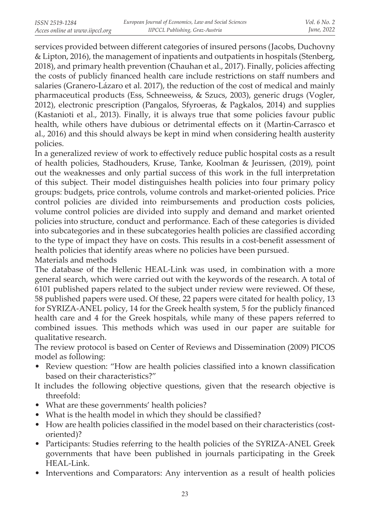services provided between different categories of insured persons (Jacobs, Duchovny & Lipton, 2016), the management of inpatients and outpatients in hospitals (Stenberg, 2018), and primary health prevention (Chauhan et al., 2017). Finally, policies affecting the costs of publicly financed health care include restrictions on staff numbers and salaries (Granero-Lázaro et al. 2017), the reduction of the cost of medical and mainly pharmaceutical products (Ess, Schneeweiss, & Szucs, 2003), generic drugs (Vogler, 2012), electronic prescription (Pangalos, Sfyroeras, & Pagkalos, 2014) and supplies (Kastanioti et al., 2013). Finally, it is always true that some policies favour public health, while others have dubious or detrimental effects on it (Martin-Carrasco et al., 2016) and this should always be kept in mind when considering health austerity policies.

In a generalized review of work to effectively reduce public hospital costs as a result of health policies, Stadhouders, Kruse, Tanke, Koolman & Jeurissen, (2019), point out the weaknesses and only partial success of this work in the full interpretation of this subject. Their model distinguishes health policies into four primary policy groups: budgets, price controls, volume controls and market-oriented policies. Price control policies are divided into reimbursements and production costs policies, volume control policies are divided into supply and demand and market oriented policies into structure, conduct and performance. Each of these categories is divided into subcategories and in these subcategories health policies are classified according to the type of impact they have on costs. This results in a cost-benefit assessment of health policies that identify areas where no policies have been pursued. Materials and methods

The database of the Hellenic HEAL-Link was used, in combination with a more general search, which were carried out with the keywords of the research. A total of 6101 published papers related to the subject under review were reviewed. Of these, 58 published papers were used. Of these, 22 papers were citated for health policy, 13 for SYRIZA-ANEL policy, 14 for the Greek health system, 5 for the publicly financed health care and 4 for the Greek hospitals, while many of these papers referred to combined issues. This methods which was used in our paper are suitable for qualitative research.

The review protocol is based on Center of Reviews and Dissemination (2009) PICOS model as following:

- Review question: "How are health policies classified into a known classification based on their characteristics?"
- It includes the following objective questions, given that the research objective is threefold:
- What are these governments' health policies?
- What is the health model in which they should be classified?
- How are health policies classified in the model based on their characteristics (costoriented)?
- Participants: Studies referring to the health policies of the SYRIZA-ANEL Greek governments that have been published in journals participating in the Greek HEAL-Link.
- Interventions and Comparators: Any intervention as a result of health policies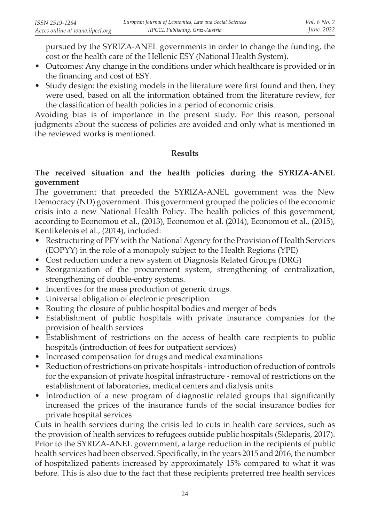pursued by the SYRIZA-ANEL governments in order to change the funding, the cost or the health care of the Hellenic ESY (National Health System).

- Outcomes: Any change in the conditions under which healthcare is provided or in the financing and cost of ESY.
- Study design: the existing models in the literature were first found and then, they were used, based on all the information obtained from the literature review, for the classification of health policies in a period of economic crisis.

Avoiding bias is of importance in the present study. For this reason, personal judgments about the success of policies are avoided and only what is mentioned in the reviewed works is mentioned.

### **Results**

### **The received situation and the health policies during the SYRIZA-ANEL government**

The government that preceded the SYRIZA-ANEL government was the New Democracy (ND) government. This government grouped the policies of the economic crisis into a new National Health Policy. The health policies of this government, according to Economou et al., (2013), Economou et al. (2014), Economou et al., (2015), Kentikelenis et al., (2014), included:

- Restructuring of PFY with the National Agency for the Provision of Health Services (EOPYY) in the role of a monopoly subject to the Health Regions (YPE)
- Cost reduction under a new system of Diagnosis Related Groups (DRG)
- Reorganization of the procurement system, strengthening of centralization, strengthening of double-entry systems.
- Incentives for the mass production of generic drugs.
- Universal obligation of electronic prescription
- Routing the closure of public hospital bodies and merger of beds
- Establishment of public hospitals with private insurance companies for the provision of health services
- Establishment of restrictions on the access of health care recipients to public hospitals (introduction of fees for outpatient services)
- Increased compensation for drugs and medical examinations
- Reduction of restrictions on private hospitals introduction of reduction of controls for the expansion of private hospital infrastructure - removal of restrictions on the establishment of laboratories, medical centers and dialysis units
- Introduction of a new program of diagnostic related groups that significantly increased the prices of the insurance funds of the social insurance bodies for private hospital services

Cuts in health services during the crisis led to cuts in health care services, such as the provision of health services to refugees outside public hospitals (Skleparis, 2017). Prior to the SYRIZA-ANEL government, a large reduction in the recipients of public health services had been observed. Specifically, in the years 2015 and 2016, the number of hospitalized patients increased by approximately 15% compared to what it was before. This is also due to the fact that these recipients preferred free health services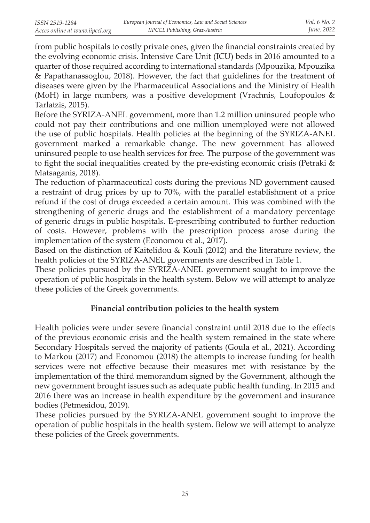from public hospitals to costly private ones, given the financial constraints created by the evolving economic crisis. Intensive Care Unit (ICU) beds in 2016 amounted to a quarter of those required according to international standards (Mpouzika, Mpouzika & Papathanassoglou, 2018). However, the fact that guidelines for the treatment of diseases were given by the Pharmaceutical Associations and the Ministry of Health (MoH) in large numbers, was a positive development (Vrachnis, Loufopoulos & Tarlatzis, 2015).

Before the SYRIZA-ANEL government, more than 1.2 million uninsured people who could not pay their contributions and one million unemployed were not allowed the use of public hospitals. Health policies at the beginning of the SYRIZA-ANEL government marked a remarkable change. The new government has allowed uninsured people to use health services for free. The purpose of the government was to fight the social inequalities created by the pre-existing economic crisis (Petraki & Matsaganis, 2018).

The reduction of pharmaceutical costs during the previous ND government caused a restraint of drug prices by up to 70%, with the parallel establishment of a price refund if the cost of drugs exceeded a certain amount. This was combined with the strengthening of generic drugs and the establishment of a mandatory percentage of generic drugs in public hospitals. E-prescribing contributed to further reduction of costs. However, problems with the prescription process arose during the implementation of the system (Economou et al., 2017).

Based on the distinction of Kaitelidou & Kouli (2012) and the literature review, the health policies of the SYRIZA-ANEL governments are described in Table 1.

These policies pursued by the SYRIZA-ANEL government sought to improve the operation of public hospitals in the health system. Below we will attempt to analyze these policies of the Greek governments.

# **Financial contribution policies to the health system**

Health policies were under severe financial constraint until 2018 due to the effects of the previous economic crisis and the health system remained in the state where Secondary Hospitals served the majority of patients (Goula et al., 2021). According to Markou (2017) and Economou (2018) the attempts to increase funding for health services were not effective because their measures met with resistance by the implementation of the third memorandum signed by the Government, although the new government brought issues such as adequate public health funding. In 2015 and 2016 there was an increase in health expenditure by the government and insurance bodies (Petmesidou, 2019).

These policies pursued by the SYRIZA-ANEL government sought to improve the operation of public hospitals in the health system. Below we will attempt to analyze these policies of the Greek governments.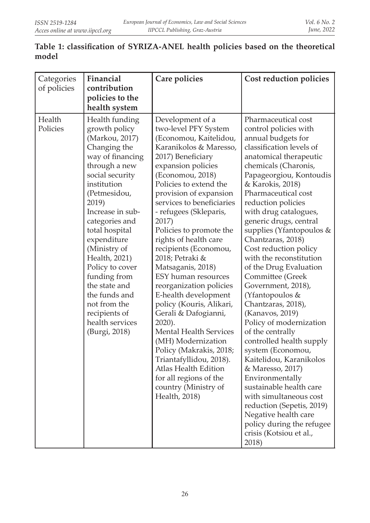# **Table 1: classification of SYRIZA-ANEL health policies based on the theoretical model**

| Categories         | Financial                                                                                                                                                                                                                                                                                                                                                                                                           | Care policies                                                                                                                                                                                                                                                                                                                                                                                                                                                                                                                                                                                                                                                                                                                                        | Cost reduction policies                                                                                                                                                                                                                                                                                                                                                                                                                                                                                                                                                                                                                                                                                                                                                                                                                                                           |  |  |
|--------------------|---------------------------------------------------------------------------------------------------------------------------------------------------------------------------------------------------------------------------------------------------------------------------------------------------------------------------------------------------------------------------------------------------------------------|------------------------------------------------------------------------------------------------------------------------------------------------------------------------------------------------------------------------------------------------------------------------------------------------------------------------------------------------------------------------------------------------------------------------------------------------------------------------------------------------------------------------------------------------------------------------------------------------------------------------------------------------------------------------------------------------------------------------------------------------------|-----------------------------------------------------------------------------------------------------------------------------------------------------------------------------------------------------------------------------------------------------------------------------------------------------------------------------------------------------------------------------------------------------------------------------------------------------------------------------------------------------------------------------------------------------------------------------------------------------------------------------------------------------------------------------------------------------------------------------------------------------------------------------------------------------------------------------------------------------------------------------------|--|--|
| of policies        | contribution<br>policies to the<br>health system                                                                                                                                                                                                                                                                                                                                                                    |                                                                                                                                                                                                                                                                                                                                                                                                                                                                                                                                                                                                                                                                                                                                                      |                                                                                                                                                                                                                                                                                                                                                                                                                                                                                                                                                                                                                                                                                                                                                                                                                                                                                   |  |  |
| Health<br>Policies | Health funding<br>growth policy<br>(Markou, 2017)<br>Changing the<br>way of financing<br>through a new<br>social security<br>institution<br>(Petmesidou,<br>2019)<br>Increase in sub-<br>categories and<br>total hospital<br>expenditure<br>(Ministry of<br>Health, 2021)<br>Policy to cover<br>funding from<br>the state and<br>the funds and<br>not from the<br>recipients of<br>health services<br>(Burgi, 2018) | Development of a<br>two-level PFY System<br>(Economou, Kaitelidou,<br>Karanikolos & Maresso,<br>2017) Beneficiary<br>expansion policies<br>(Economou, 2018)<br>Policies to extend the<br>provision of expansion<br>services to beneficiaries<br>- refugees (Skleparis,<br>2017)<br>Policies to promote the<br>rights of health care<br>recipients (Economou,<br>2018; Petraki &<br>Matsaganis, 2018)<br>ESY human resources<br>reorganization policies<br>E-health development<br>policy (Kouris, Alikari,<br>Gerali & Dafogianni,<br>2020).<br><b>Mental Health Services</b><br>(MH) Modernization<br>Policy (Makrakis, 2018;<br>Triantafyllidou, 2018).<br>Atlas Health Edition<br>for all regions of the<br>country (Ministry of<br>Health, 2018) | Pharmaceutical cost<br>control policies with<br>annual budgets for<br>classification levels of<br>anatomical therapeutic<br>chemicals (Charonis,<br>Papageorgiou, Kontoudis<br>& Karokis, 2018)<br>Pharmaceutical cost<br>reduction policies<br>with drug catalogues,<br>generic drugs, central<br>supplies (Yfantopoulos &<br>Chantzaras, 2018)<br>Cost reduction policy<br>with the reconstitution<br>of the Drug Evaluation<br>Committee (Greek<br>Government, 2018),<br>(Yfantopoulos &<br>Chantzaras, 2018),<br>(Kanavos, 2019)<br>Policy of modernization<br>of the centrally<br>controlled health supply<br>system (Economou,<br>Kaitelidou, Karanikolos<br>& Maresso, 2017)<br>Environmentally<br>sustainable health care<br>with simultaneous cost<br>reduction (Sepetis, 2019)<br>Negative health care<br>policy during the refugee<br>crisis (Kotsiou et al.,<br>2018) |  |  |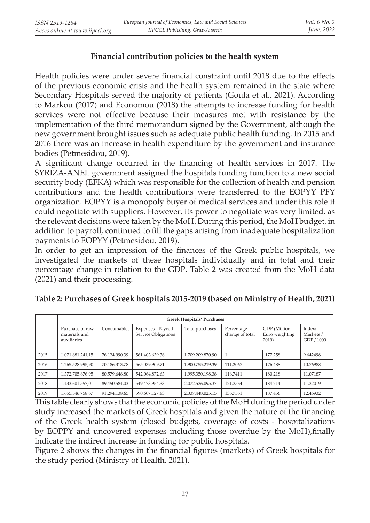# **Financial contribution policies to the health system**

Health policies were under severe financial constraint until 2018 due to the effects of the previous economic crisis and the health system remained in the state where Secondary Hospitals served the majority of patients (Goula et al., 2021). According to Markou (2017) and Economou (2018) the attempts to increase funding for health services were not effective because their measures met with resistance by the implementation of the third memorandum signed by the Government, although the new government brought issues such as adequate public health funding. In 2015 and 2016 there was an increase in health expenditure by the government and insurance bodies (Petmesidou, 2019).

A significant change occurred in the financing of health services in 2017. The SYRIZA-ANEL government assigned the hospitals funding function to a new social security body (EFKA) which was responsible for the collection of health and pension contributions and the health contributions were transferred to the EOPYY PFY organization. EOPYY is a monopoly buyer of medical services and under this role it could negotiate with suppliers. However, its power to negotiate was very limited, as the relevant decisions were taken by the MoH. During this period, the MoH budget, in addition to payroll, continued to fill the gaps arising from inadequate hospitalization payments to EOPYY (Petmesidou, 2019).

In order to get an impression of the finances of the Greek public hospitals, we investigated the markets of these hospitals individually and in total and their percentage change in relation to the GDP. Table 2 was created from the MoH data (2021) and their processing.

|      | <b>Greek Hospitals' Purchases</b>               |               |                                             |                  |                               |                                         |                                   |  |  |
|------|-------------------------------------------------|---------------|---------------------------------------------|------------------|-------------------------------|-----------------------------------------|-----------------------------------|--|--|
|      | Purchase of raw<br>materials and<br>auxiliaries | Consumables   | Expenses - Payroll -<br>Service Obligations | Total purchases  | Percentage<br>change of total | GDP (Million<br>Euro weighting<br>2019) | Index:<br>Markets /<br>GDP / 1000 |  |  |
| 2015 | 1.071.681.241.15                                | 76.124.990.39 | 561.403.639.36                              | 1.709.209.870.90 |                               | 177.258                                 | 9.642498                          |  |  |
| 2016 | 1.265.528.995.90                                | 70.186.313.78 | 565.039.909.71                              | 1.900.755.219.39 | 111.2067                      | 176.488                                 | 10.76988                          |  |  |
| 2017 | 1.372.705.676.95                                | 80,579,648.80 | 542.064.872.63                              | 1.995.350.198.38 | 116.7411                      | 180.218                                 | 11.07187                          |  |  |
| 2018 | 1.433.601.557,01                                | 89.450.584,03 | 549.473.954.33                              | 2.072.526.095,37 | 121.2564                      | 184.714                                 | 11,22019                          |  |  |
| 2019 | 1.655.546.758,67                                | 91.294.138.65 | 590.607.127.83                              | 2.337.448.025.15 | 136.7561                      | 187.456                                 | 12.46932                          |  |  |

**Table 2: Purchases of Greek hospitals 2015-2019 (based on Ministry of Health, 2021)**

This table clearly shows that the economic policies of the MoH during the period under study increased the markets of Greek hospitals and given the nature of the financing of the Greek health system (closed budgets, coverage of costs - hospitalizations by EOPPY and uncovered expenses including those overdue by the MoH),finally indicate the indirect increase in funding for public hospitals.

Figure 2 shows the changes in the financial figures (markets) of Greek hospitals for the study period (Ministry of Health, 2021).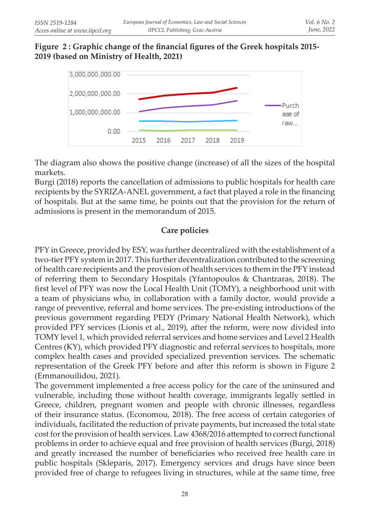## **Figure 2 : Graphic change of the financial figures of the Greek hospitals 2015- 2019 (based on Ministry of Health, 2021)**



The diagram also shows the positive change (increase) of all the sizes of the hospital markets.

Burgi (2018) reports the cancellation of admissions to public hospitals for health care recipients by the SYRIZA-ANEL government, a fact that played a role in the financing of hospitals. But at the same time, he points out that the provision for the return of admissions is present in the memorandum of 2015.

# **Care policies**

PFY in Greece, provided by ESY, was further decentralized with the establishment of a two-tier PFY system in 2017. This further decentralization contributed to the screening of health care recipients and the provision of health services to them in the PFY instead of referring them to Secondary Hospitals (Yfantopoulos & Chantzaras, 2018). The first level of PFY was now the Local Health Unit (TOMY), a neighborhood unit with a team of physicians who, in collaboration with a family doctor, would provide a range of preventive, referral and home services. The pre-existing introductions of the previous government regarding PEDY (Primary National Health Network), which provided PFY services (Lionis et al., 2019), after the reform, were now divided into TOMY level 1, which provided referral services and home services and Level 2 Health Centres (KY), which provided PFY diagnostic and referral services to hospitals, more complex health cases and provided specialized prevention services. The schematic representation of the Greek PFY before and after this reform is shown in Figure 2 (Emmanouilidou, 2021).

The government implemented a free access policy for the care of the uninsured and vulnerable, including those without health coverage, immigrants legally settled in Greece, children, pregnant women and people with chronic illnesses, regardless of their insurance status. (Economou, 2018). The free access of certain categories of individuals, facilitated the reduction of private payments, but increased the total state cost for the provision of health services. Law 4368/2016 attempted to correct functional problems in order to achieve equal and free provision of health services (Burgi, 2018) and greatly increased the number of beneficiaries who received free health care in public hospitals (Skleparis, 2017). Emergency services and drugs have since been provided free of charge to refugees living in structures, while at the same time, free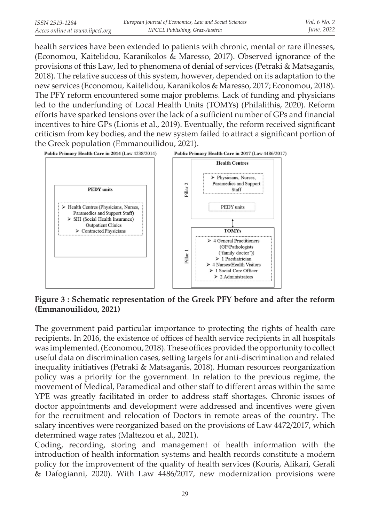health services have been extended to patients with chronic, mental or rare illnesses, (Economou, Kaitelidou, Karanikolos & Maresso, 2017). Observed ignorance of the provisions of this Law, led to phenomena of denial of services (Petraki & Matsaganis, 2018). The relative success of this system, however, depended on its adaptation to the new services (Economou, Kaitelidou, Karanikolos & Maresso, 2017; Economou, 2018). The PFY reform encountered some major problems. Lack of funding and physicians led to the underfunding of Local Health Units (TOMYs) (Philalithis, 2020). Reform efforts have sparked tensions over the lack of a sufficient number of GPs and financial incentives to hire GPs (Lionis et al., 2019). Eventually, the reform received significant criticism from key bodies, and the new system failed to attract a significant portion of the Greek population (Emmanouilidou, 2021).



**Figure 3 : Schematic representation of the Greek PFY before and after the reform (Emmanouilidou, 2021)**

The government paid particular importance to protecting the rights of health care recipients. In 2016, the existence of offices of health service recipients in all hospitals was implemented. (Economou, 2018). These offices provided the opportunity to collect useful data on discrimination cases, setting targets for anti-discrimination and related inequality initiatives (Petraki & Matsaganis, 2018). Human resources reorganization policy was a priority for the government. In relation to the previous regime, the movement of Medical, Paramedical and other staff to different areas within the same YPE was greatly facilitated in order to address staff shortages. Chronic issues of doctor appointments and development were addressed and incentives were given for the recruitment and relocation of Doctors in remote areas of the country. The salary incentives were reorganized based on the provisions of Law 4472/2017, which determined wage rates (Maltezou et al., 2021).

Coding, recording, storing and management of health information with the introduction of health information systems and health records constitute a modern policy for the improvement of the quality of health services (Kouris, Alikari, Gerali & Dafogianni, 2020). With Law 4486/2017, new modernization provisions were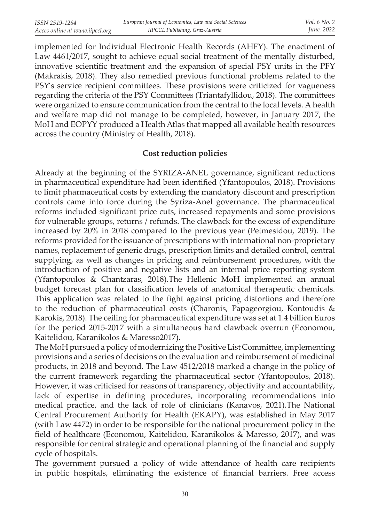implemented for Individual Electronic Health Records (AHFY). The enactment of Law 4461/2017, sought to achieve equal social treatment of the mentally disturbed, innovative scientific treatment and the expansion of special PSY units in the PFY (Makrakis, 2018). They also remedied previous functional problems related to the PSY's service recipient committees. These provisions were criticized for vagueness regarding the criteria of the PSY Committees (Triantafyllidou, 2018). The committees were organized to ensure communication from the central to the local levels. A health and welfare map did not manage to be completed, however, in January 2017, the MoH and EOPYY produced a Health Atlas that mapped all available health resources across the country (Ministry of Health, 2018).

### **Cost reduction policies**

Already at the beginning of the SYRIZA-ANEL governance, significant reductions in pharmaceutical expenditure had been identified (Yfantopoulos, 2018). Provisions to limit pharmaceutical costs by extending the mandatory discount and prescription controls came into force during the Syriza-Anel governance. The pharmaceutical reforms included significant price cuts, increased repayments and some provisions for vulnerable groups, returns / refunds. The clawback for the excess of expenditure increased by 20% in 2018 compared to the previous year (Petmesidou, 2019). The reforms provided for the issuance of prescriptions with international non-proprietary names, replacement of generic drugs, prescription limits and detailed control, central supplying, as well as changes in pricing and reimbursement procedures, with the introduction of positive and negative lists and an internal price reporting system (Yfantopoulos & Chantzaras, 2018).The Hellenic MoH implemented an annual budget forecast plan for classification levels of anatomical therapeutic chemicals. This application was related to the fight against pricing distortions and therefore to the reduction of pharmaceutical costs (Charonis, Papageorgiou, Kontoudis & Karokis, 2018). The ceiling for pharmaceutical expenditure was set at 1.4 billion Euros for the period 2015-2017 with a simultaneous hard clawback overrun (Economou, Kaitelidou, Karanikolos & Maresso2017).

The MoH pursued a policy of modernizing the Positive List Committee, implementing provisions and a series of decisions on the evaluation and reimbursement of medicinal products, in 2018 and beyond. The Law 4512/2018 marked a change in the policy of the current framework regarding the pharmaceutical sector (Yfantopoulos, 2018). However, it was criticised for reasons of transparency, objectivity and accountability, lack of expertise in defining procedures, incorporating recommendations into medical practice, and the lack of role of clinicians (Kanavos, 2021).The National Central Procurement Authority for Health (EKAPY), was established in May 2017 (with Law 4472) in order to be responsible for the national procurement policy in the field of healthcare (Economou, Kaitelidou, Karanikolos & Maresso, 2017), and was responsible for central strategic and operational planning of the financial and supply cycle of hospitals.

The government pursued a policy of wide attendance of health care recipients in public hospitals, eliminating the existence of financial barriers. Free access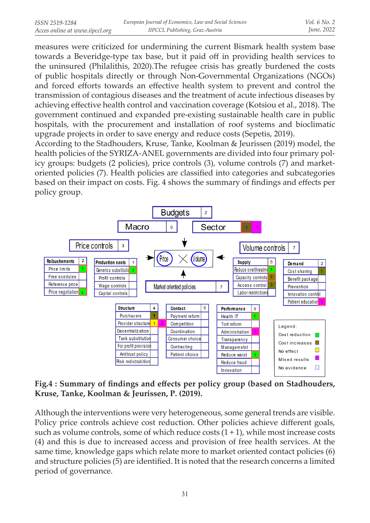measures were criticized for undermining the current Bismark health system base towards a Beveridge-type tax base, but it paid off in providing health services to the uninsured (Philalithis, 2020).The refugee crisis has greatly burdened the costs of public hospitals directly or through Non-Governmental Organizations (NGOs) and forced efforts towards an effective health system to prevent and control the transmission of contagious diseases and the treatment of acute infectious diseases by achieving effective health control and vaccination coverage (Kotsiou et al., 2018). The government continued and expanded pre-existing sustainable health care in public hospitals, with the procurement and installation of roof systems and bioclimatic upgrade projects in order to save energy and reduce costs (Sepetis, 2019).

According to the Stadhouders, Kruse, Tanke, Koolman & Jeurissen (2019) model, the health policies of the SYRIZA-ANEL governments are divided into four primary policy groups: budgets (2 policies), price controls (3), volume controls (7) and marketoriented policies (7). Health policies are classified into categories and subcategories based on their impact on costs. Fig. 4 shows the summary of findings and effects per policy group.



## **Fig.4 : Summary of findings and effects per policy group (based on Stadhouders, Kruse, Tanke, Koolman & Jeurissen, P. (2019).**

Although the interventions were very heterogeneous, some general trends are visible. Policy price controls achieve cost reduction. Other policies achieve different goals, such as volume controls, some of which reduce costs  $(1 + 1)$ , while most increase costs (4) and this is due to increased access and provision of free health services. At the same time, knowledge gaps which relate more to market oriented contact policies (6) and structure policies (5) are identified. It is noted that the research concerns a limited period of governance.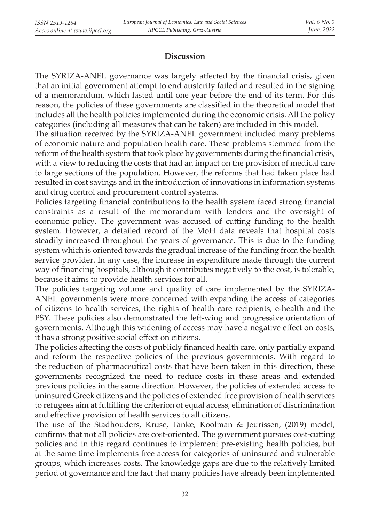### **Discussion**

The SYRIZA-ANEL governance was largely affected by the financial crisis, given that an initial government attempt to end austerity failed and resulted in the signing of a memorandum, which lasted until one year before the end of its term. For this reason, the policies of these governments are classified in the theoretical model that includes all the health policies implemented during the economic crisis. All the policy categories (including all measures that can be taken) are included in this model.

The situation received by the SYRIZA-ANEL government included many problems of economic nature and population health care. These problems stemmed from the reform of the health system that took place by governments during the financial crisis, with a view to reducing the costs that had an impact on the provision of medical care to large sections of the population. However, the reforms that had taken place had resulted in cost savings and in the introduction of innovations in information systems and drug control and procurement control systems.

Policies targeting financial contributions to the health system faced strong financial constraints as a result of the memorandum with lenders and the oversight of economic policy. The government was accused of cutting funding to the health system. However, a detailed record of the MoH data reveals that hospital costs steadily increased throughout the years of governance. This is due to the funding system which is oriented towards the gradual increase of the funding from the health service provider. In any case, the increase in expenditure made through the current way of financing hospitals, although it contributes negatively to the cost, is tolerable, because it aims to provide health services for all.

The policies targeting volume and quality of care implemented by the SYRIZA-ANEL governments were more concerned with expanding the access of categories of citizens to health services, the rights of health care recipients, e-health and the PSY. These policies also demonstrated the left-wing and progressive orientation of governments. Although this widening of access may have a negative effect on costs, it has a strong positive social effect on citizens.

The policies affecting the costs of publicly financed health care, only partially expand and reform the respective policies of the previous governments. With regard to the reduction of pharmaceutical costs that have been taken in this direction, these governments recognized the need to reduce costs in these areas and extended previous policies in the same direction. However, the policies of extended access to uninsured Greek citizens and the policies of extended free provision of health services to refugees aim at fulfilling the criterion of equal access, elimination of discrimination and effective provision of health services to all citizens.

The use of the Stadhouders, Kruse, Tanke, Koolman & Jeurissen, (2019) model, confirms that not all policies are cost-oriented. The government pursues cost-cutting policies and in this regard continues to implement pre-existing health policies, but at the same time implements free access for categories of uninsured and vulnerable groups, which increases costs. The knowledge gaps are due to the relatively limited period of governance and the fact that many policies have already been implemented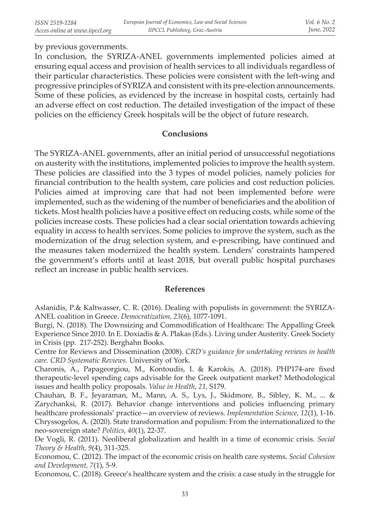#### by previous governments.

In conclusion, the SYRIZA-ANEL governments implemented policies aimed at ensuring equal access and provision of health services to all individuals regardless of their particular characteristics. These policies were consistent with the left-wing and progressive principles of SYRIZA and consistent with its pre-election announcements. Some of these policies, as evidenced by the increase in hospital costs, certainly had an adverse effect on cost reduction. The detailed investigation of the impact of these policies on the efficiency Greek hospitals will be the object of future research.

#### **Conclusions**

The SYRIZA-ANEL governments, after an initial period of unsuccessful negotiations on austerity with the institutions, implemented policies to improve the health system. These policies are classified into the 3 types of model policies, namely policies for financial contribution to the health system, care policies and cost reduction policies. Policies aimed at improving care that had not been implemented before were implemented, such as the widening of the number of beneficiaries and the abolition of tickets. Most health policies have a positive effect on reducing costs, while some of the policies increase costs. These policies had a clear social orientation towards achieving equality in access to health services. Some policies to improve the system, such as the modernization of the drug selection system, and e-prescribing, have continued and the measures taken modernized the health system. Lenders' constraints hampered the government's efforts until at least 2018, but overall public hospital purchases reflect an increase in public health services.

#### **References**

Aslanidis, P.& Kaltwasser, C. R. (2016). Dealing with populists in government: the SYRIZA-ANEL coalition in Greece. *Democratization, 23*(6), 1077-1091.

Burgi, N. (2018). The Downsizing and Commodification of Healthcare: The Appalling Greek Experience Since 2010. In E. Doxiadis & A. Plakas (Eds.). Living under Austerity. Greek Society in Crisis (pp. 217-252). Berghahn Books.

Centre for Reviews and Dissemination (2008). *CRD's guidance for undertaking reviews in health care. CRD Systematic Reviews.* University of York.

Charonis, A., Papageorgiou, M., Kontoudis, I. & Karokis, A. (2018). PHP174-are fixed therapeutic-level spending caps advisable for the Greek outpatient market? Methodological issues and health policy proposals. *Value in Health*, *21*, S179.

Chauhan, B. F., Jeyaraman, M., Mann, A. S., Lys, J., Skidmore, B., Sibley, K. M., ... & Zarychanksi, R. (2017). Behavior change interventions and policies influencing primary healthcare professionals' practice—an overview of reviews. *Implementation Science, 12*(1), 1-16. Chryssogelos, A. (2020). State transformation and populism: From the internationalized to the neo-sovereign state? *Politics*, *40*(1), 22-37.

De Vogli, R. (2011). Neoliberal globalization and health in a time of economic crisis. *Social Theory & Health, 9*(4), 311-325.

Economou, C. (2012). The impact of the economic crisis on health care systems. *Social Cohesion and Development, 7*(1), 5-9.

Economou, C. (2018). Greece's healthcare system and the crisis: a case study in the struggle for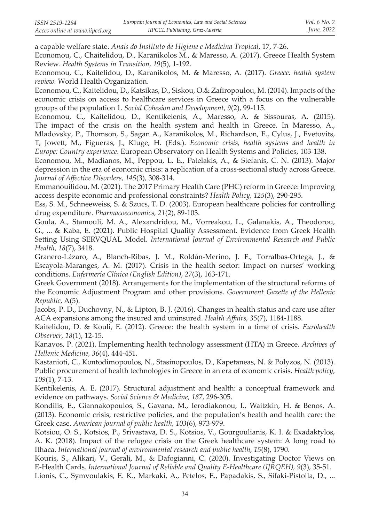a capable welfare state. *Anais do Instituto de Higiene e Medicina Tropical*, 17, 7-26.

Economou, C., Chaitelidou, D., Karanikolos M., & Maresso, A. (2017). Greece Health System Review. *Health Systems in Transition, 19*(5), 1-192.

Economou, C., Kaitelidou, D., Karanikolos, M. & Maresso, A. (2017). *Greece: health system review.* World Health Organization.

Economou, C., Kaitelidou, D., Katsikas, D., Siskou, O.& Zafiropoulou, M. (2014). Impacts of the economic crisis on access to healthcare services in Greece with a fοcus on the vulnerable groups of the population 1. *Social Cohesion and Development*, *9*(2), 99-115.

Economou, C., Kaitelidou, D., Kentikelenis, A., Maresso, A. & Sissouras, A. (2015). The impact of the crisis on the health system and health in Greece. In Maresso, A., Mladovsky, P., Thomson, S., Sagan A., Karanikolos, M., Richardson, E., Cylus, J., Evetovits, T, Jowett, M., Figueras, J., Kluge, H. (Eds.). *Economic crisis, health systems and health in Europe: Country experience*. European Observatory on Health Systems and Policies, 103-138.

Economou, M., Madianos, M., Peppou, L. E., Patelakis, A., & Stefanis, C. N. (2013). Major depression in the era of economic crisis: a replication of a cross-sectional study across Greece. *Journal of Affective Disorders, 145*(3)*,* 308-314.

Emmanouilidou, M. (2021). The 2017 Primary Health Care (PHC) reform in Greece: Improving access despite economic and professional constraints? *Health Policy, 125*(3), 290-295.

Ess, S. M., Schneeweiss, S. & Szucs, T. D. (2003). European healthcare policies for controlling drug expenditure. *Pharmacoeconomics, 21*(2), 89-103.

Goula, A., Stamouli, M. A., Alexandridou, M., Vorreakou, L., Galanakis, A., Theodorou, G., ... & Kaba, E. (2021). Public Hospital Quality Assessment. Evidence from Greek Health Setting Using SERVQUAL Model. *International Journal of Environmental Research and Public Health*, *18*(7), 3418.

Granero-Lázaro, A., Blanch-Ribas, J. M., Roldán-Merino, J. F., Torralbas-Ortega, J., & Escayola-Maranges, A. M. (2017). Crisis in the health sector: Impact on nurses' working conditions. *Enfermería Clínica (English Edition)*, *27*(3), 163-171.

Greek Government (2018). Arrangements for the implementation of the structural reforms of the Economic Adjustment Program and other provisions. *Government Gazette of the Hellenic Republic*, A(5).

Jacobs, P. D., Duchovny, N., & Lipton, B. J. (2016). Changes in health status and care use after ACA expansions among the insured and uninsured. *Health Affairs, 35*(7), 1184-1188.

Kaitelidou, D. & Kouli, E. (2012). Greece: the health system in a time of crisis. *Eurohealth Observer, 18*(1), 12-15.

Kanavos, P. (2021). Implementing health technology assessment (HTA) in Greece. *Archives of Hellenic Medicine, 36*(4), 444-451.

Kastanioti, C., Kontodimopoulos, N., Stasinopoulos, D., Kapetaneas, N. & Polyzos, N. (2013). Public procurement of health technologies in Greece in an era of economic crisis. *Health policy, 109*(1), 7-13.

Kentikelenis, A. E. (2017). Structural adjustment and health: a conceptual framework and evidence on pathways. *Social Science & Medicine, 187*, 296-305.

Kondilis, E., Giannakopoulos, S., Gavana, M., Ierodiakonou, I., Waitzkin, H. & Benos, A. (2013). Economic crisis, restrictive policies, and the population's health and health care: the Greek case. *American journal of public health, 103*(6), 973-979.

Kotsiou, O. S., Kotsios, P., Srivastava, D. S., Kotsios, V., Gourgoulianis, K. I. & Exadaktylos, A. K. (2018). Impact of the refugee crisis on the Greek healthcare system: A long road to Ithaca. *International journal of environmental research and public health*, *15*(8), 1790.

Kouris, S., Alikari, V., Gerali, M., & Dafogianni, C. (2020). Investigating Doctor Views on E-Health Cards. *International Journal of Reliable and Quality E-Healthcare (IJRQEH), 9*(3), 35-51.

Lionis, C., Symvoulakis, E. K., Markaki, A., Petelos, E., Papadakis, S., Sifaki-Pistolla, D., ...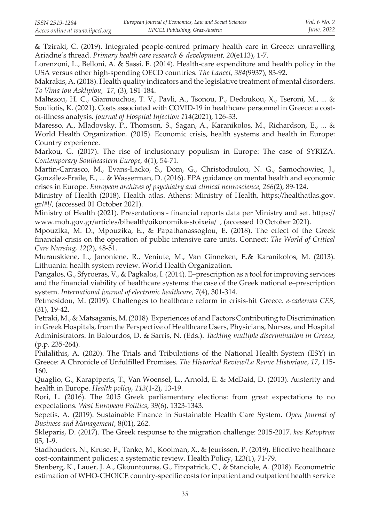& Tziraki, C. (2019). Integrated people-centred primary health care in Greece: unravelling Ariadne's thread. *Primary health care research & development, 20*(e113), 1-7.

Lorenzoni, L., Belloni, A. & Sassi, F. (2014). Health-care expenditure and health policy in the USA versus other high-spending OECD countries. *The Lancet, 384*(9937), 83-92.

Makrakis, A. (2018). Health quality indicators and the legislative treatment of mental disorders. *To Vima tou Asklipiou, 17*, (3), 181-184.

Maltezou, H. C., Giannouchos, T. V., Pavli, A., Tsonou, P., Dedoukou, X., Tseroni, M., ... & Souliotis, K. (2021). Costs associated with COVID-19 in healthcare personnel in Greece: a costof-illness analysis. *Journal of Hospital Infection 114*(2021), 126-33.

Maresso, A., Mladovsky, P., Thomson, S., Sagan, A., Karanikolos, M., Richardson, E., ... & World Health Organization. (2015). Economic crisis, health systems and health in Europe: Country experience.

Markou, G. (2017). The rise of inclusionary populism in Europe: The case of SYRIZA. *Contemporary Southeastern Europe, 4*(1), 54-71.

Martin-Carrasco, M., Evans-Lacko, S., Dom, G., Christodoulou, N. G., Samochowiec, J., González-Fraile, E., ... & Wasserman, D. (2016). EPA guidance on mental health and economic crises in Europe. *European archives of psychiatry and clinical neuroscience, 266*(2), 89-124.

Ministry of Health (2018). Health atlas. Athens: Ministry of Health, https://healthatlas.gov. gr/#!/, (accessed 01 October 2021).

Ministry of Health (2021). Presentations - financial reports data per Ministry and set. https:// www.moh.gov.gr/articles/bihealth/oikonomika-stoixeia/ , (accessed 10 October 2021).

Mpouzika, M. D., Mpouzika, E., & Papathanassoglou, E. (2018). The effect of the Greek financial crisis on the operation of public intensive care units. Connect: *The World of Critical Care Nursing, 12*(2), 48-51.

Murauskiene, L., Janoniene, R., Veniute, M., Van Ginneken, E.& Karanikolos, M. (2013). Lithuania: health system review. World Health Organization.

Pangalos, G., Sfyroeras, V., & Pagkalos, I. (2014). E–prescription as a tool for improving services and the financial viability of healthcare systems: the case of the Greek national e–prescription system. *International journal of electronic healthcare, 7*(4), 301-314.

Petmesidou, M. (2019). Challenges to healthcare reform in crisis-hit Greece. *e-cadernos CES*, (31), 19-42.

Petraki, M., & Matsaganis, M. (2018). Experiences of and Factors Contributing to Discrimination in Greek Hospitals, from the Perspective of Healthcare Users, Physicians, Nurses, and Hospital Administrators. In Balourdos, D. & Sarris, N. (Eds.). *Tackling multiple discrimination in Greece*, (p.p. 235-264).

Philalithis, A. (2020). The Trials and Tribulations of the National Health System (ESY) in Greece: A Chronicle of Unfulfilled Promises. *The Historical Review/La Revue Historique*, *17*, 115- 160.

Quaglio, G., Karapiperis, T., Van Woensel, L., Arnold, E. & McDaid, D. (2013). Austerity and health in Europe. *Health policy, 113*(1-2), 13-19.

Rori, L. (2016). The 2015 Greek parliamentary elections: from great expectations to no expectations. *West European Politics*, *39*(6), 1323-1343.

Sepetis, A. (2019). Sustainable Finance in Sustainable Health Care System. *Open Journal of Business and Management*, 8(01), 262.

Skleparis, D. (2017). The Greek response to the migration challenge: 2015-2017. *kas Katoptron* 05, 1-9.

Stadhouders, N., Kruse, F., Tanke, M., Koolman, X., & Jeurissen, P. (2019). Effective healthcare cost-containment policies: a systematic review. Health Policy, 123(1), 71-79.

Stenberg, K., Lauer, J. A., Gkountouras, G., Fitzpatrick, C., & Stanciole, A. (2018). Econometric estimation of WHO-CHOICE country-specific costs for inpatient and outpatient health service